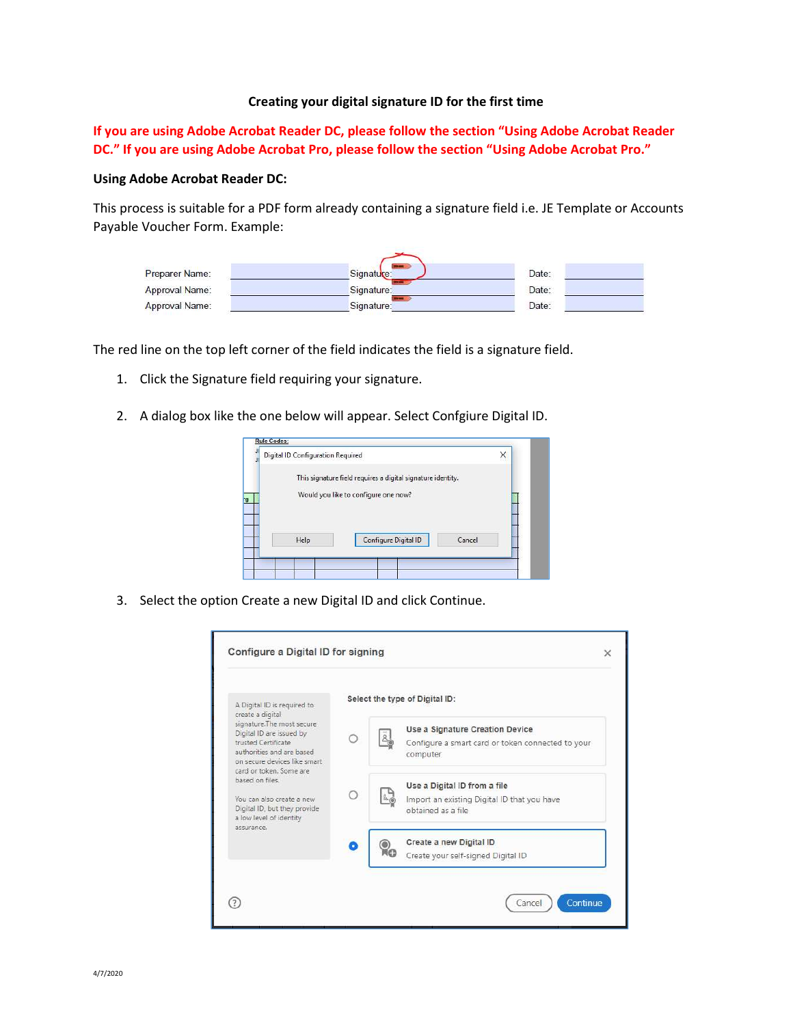## Creating your digital signature ID for the first time

If you are using Adobe Acrobat Reader DC, please follow the section "Using Adobe Acrobat Reader DC." If you are using Adobe Acrobat Pro, please follow the section "Using Adobe Acrobat Pro."

## Using Adobe Acrobat Reader DC:

This process is suitable for a PDF form already containing a signature field i.e. JE Template or Accounts Payable Voucher Form. Example:

| Preparer Name: | Signature: | Date: |
|----------------|------------|-------|
| Approval Name: | Signature: | Date: |
| Approval Name: | Signature: | Date: |

The red line on the top left corner of the field indicates the field is a signature field.

- 1. Click the Signature field requiring your signature.
- 2. A dialog box like the one below will appear. Select Confgiure Digital ID.



3. Select the option Create a new Digital ID and click Continue.

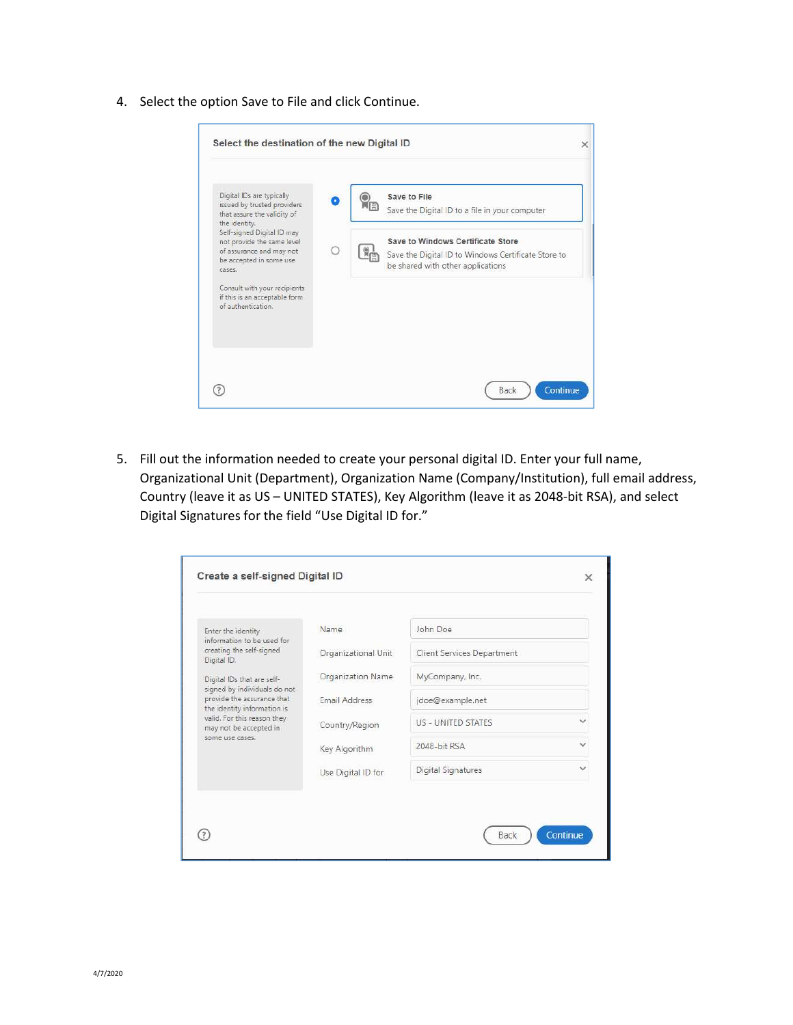4. Select the option Save to File and click Continue.

| Select the destination of the new Digital ID                                                                                                              | $\times$                                                                                                                      |
|-----------------------------------------------------------------------------------------------------------------------------------------------------------|-------------------------------------------------------------------------------------------------------------------------------|
| Digital IDs are typically<br>issued by trusted providers<br>that assure the validity of<br>the identity.                                                  | Save to File<br>Save the Digital ID to a file in your computer                                                                |
| Self-signed Digital ID may<br>not provide the same level<br>of assurance and may not<br>be accepted in some use<br>CASPS.<br>Consult with your recipients | Save to Windows Certificate Store<br>Save the Digital ID to Windows Certificate Store to<br>be shared with other applications |
| if this is an acceptable form<br>of authentication.                                                                                                       |                                                                                                                               |
|                                                                                                                                                           | Back<br>Continue                                                                                                              |

5. Fill out the information needed to create your personal digital ID. Enter your full name, Organizational Unit (Department), Organization Name (Company/Institution), full email address, Country (leave it as US – UNITED STATES), Key Algorithm (leave it as 2048-bit RSA), and select Digital Signatures for the field "Use Digital ID for."

| Enter the identity                                                                        | Name                 | John Doe                   |              |
|-------------------------------------------------------------------------------------------|----------------------|----------------------------|--------------|
| information to be used for<br>creating the self-signed<br>Digital ID.                     | Organizational Unit  | Client Services Department |              |
| Digital IDs that are self-                                                                | Organization Name    | MyCompany, Inc.            |              |
| signed by individuals do not<br>provide the assurance that<br>the identity information is | <b>Email Address</b> | jdoe@example.net           |              |
| valid. For this reason they<br>may not be accepted in<br>some use cases.                  | Country/Region       | US - UNITED STATES         | $\checkmark$ |
|                                                                                           | Key Algorithm        | 2048-bit RSA               | $\checkmark$ |
|                                                                                           | Use Digital ID for   | Digital Signatures         | $\checkmark$ |
|                                                                                           |                      |                            |              |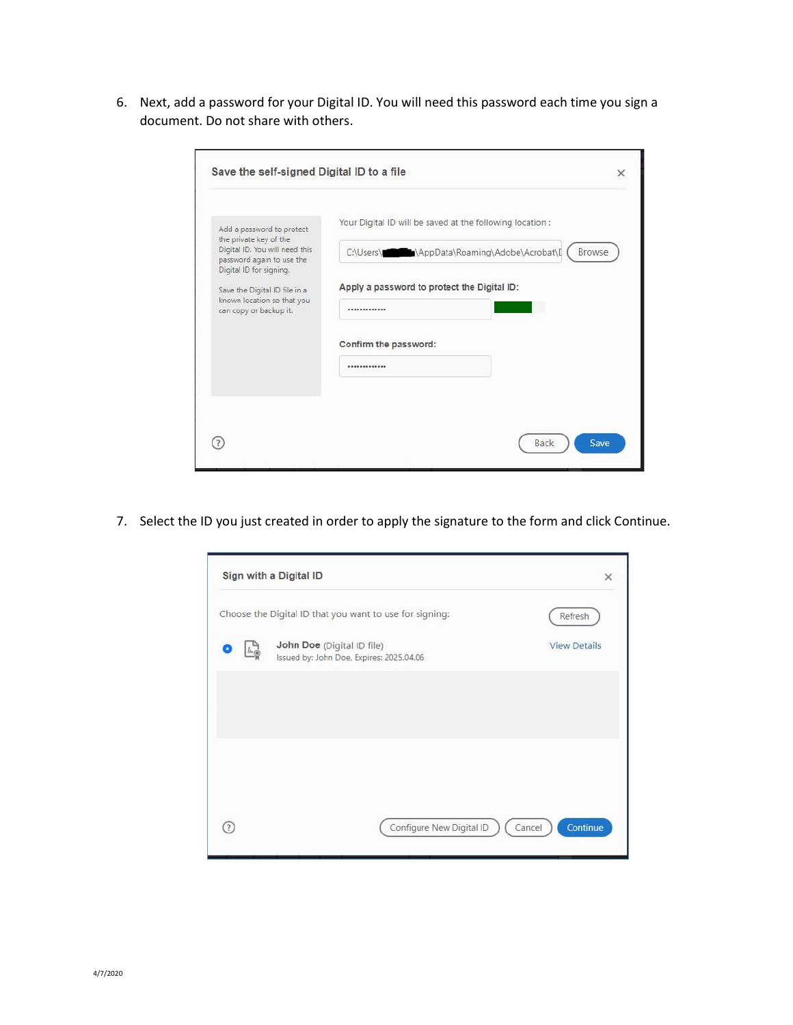6. Next, add a password for your Digital ID. You will need this password each time you sign a document. Do not share with others.

| Add a password to protect                                                                                        | Your Digital ID will be saved at the following location:               |  |
|------------------------------------------------------------------------------------------------------------------|------------------------------------------------------------------------|--|
| the private key of the<br>Digital ID. You will need this<br>password again to use the                            | C:\Users\ <b>\\\\\\\\\\</b> \AppData\Roaming\Adobe\Acrobat\[<br>Browse |  |
| Digital ID for signing.<br>Save the Digital ID file in a<br>known location so that you<br>can copy or backup it. | Apply a password to protect the Digital ID:                            |  |
|                                                                                                                  | -------------                                                          |  |
|                                                                                                                  | Confirm the password:                                                  |  |
|                                                                                                                  | *************                                                          |  |
|                                                                                                                  |                                                                        |  |

7. Select the ID you just created in order to apply the signature to the form and click Continue.

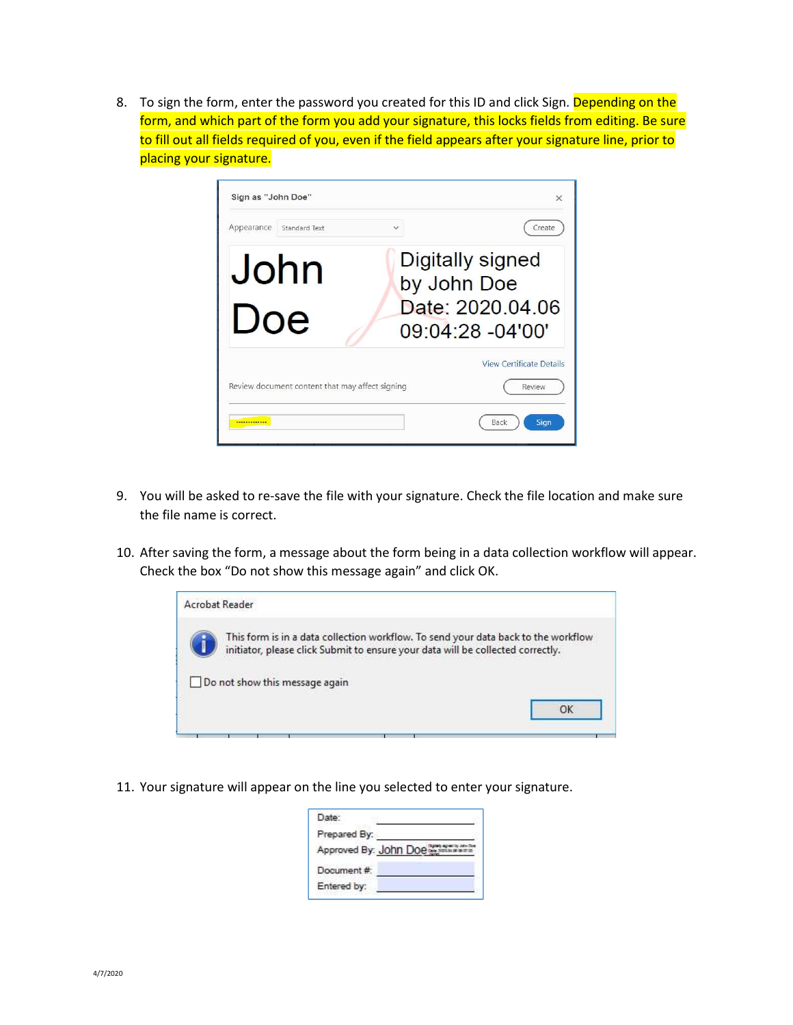8. To sign the form, enter the password you created for this ID and click Sign. Depending on the form, and which part of the form you add your signature, this locks fields from editing. Be sure to fill out all fields required of you, even if the field appears after your signature line, prior to placing your signature.

| Sign as "John Doe"                                               |              | $\times$                                                                |
|------------------------------------------------------------------|--------------|-------------------------------------------------------------------------|
| Appearance<br>Standard Text                                      | $\checkmark$ | Create                                                                  |
| John<br>Doe                                                      |              | Digitally signed<br>by John Doe<br>Date: 2020.04.06<br>09:04:28 -04'00' |
| Review document content that may affect signing<br>************* |              | <b>View Certificate Details</b><br>Review<br>Back<br>Sign               |

- 9. You will be asked to re-save the file with your signature. Check the file location and make sure the file name is correct.
- 10. After saving the form, a message about the form being in a data collection workflow will appear. Check the box "Do not show this message again" and click OK.



11. Your signature will appear on the line you selected to enter your signature.

| Date:        |                       |
|--------------|-----------------------|
| Prepared By: |                       |
|              | Approved By: John Doe |
| Document#:   |                       |
| Entered by:  |                       |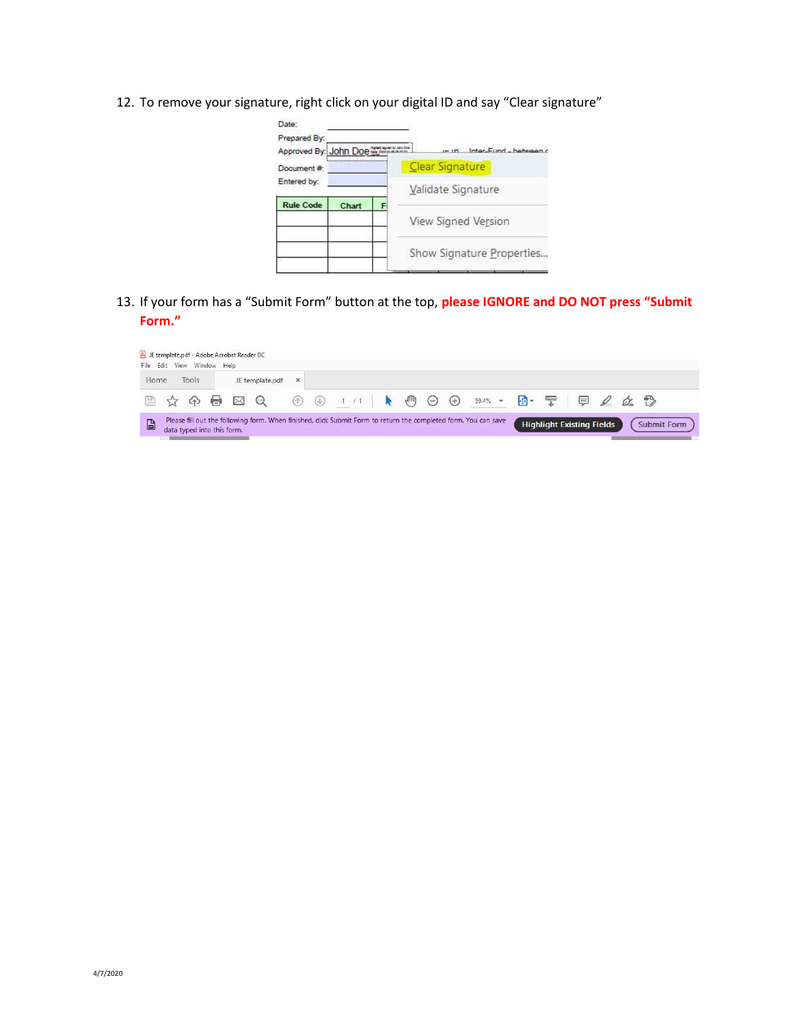12. To remove your signature, right click on your digital ID and say "Clear signature"

| Date:<br>Prepared By:<br>Approved By: John Doe<br>Document#<br>Entered by: |       |   | Inter-Fund - hebreen o<br><b>Clear Signature</b> |
|----------------------------------------------------------------------------|-------|---|--------------------------------------------------|
| <b>Rule Code</b>                                                           | Chart | F | Validate Signature                               |
|                                                                            |       |   | View Signed Version                              |
|                                                                            |       |   | Show Signature Properties                        |

13. If your form has a "Submit Form" button at the top, please IGNORE and DO NOT press "Submit Form."

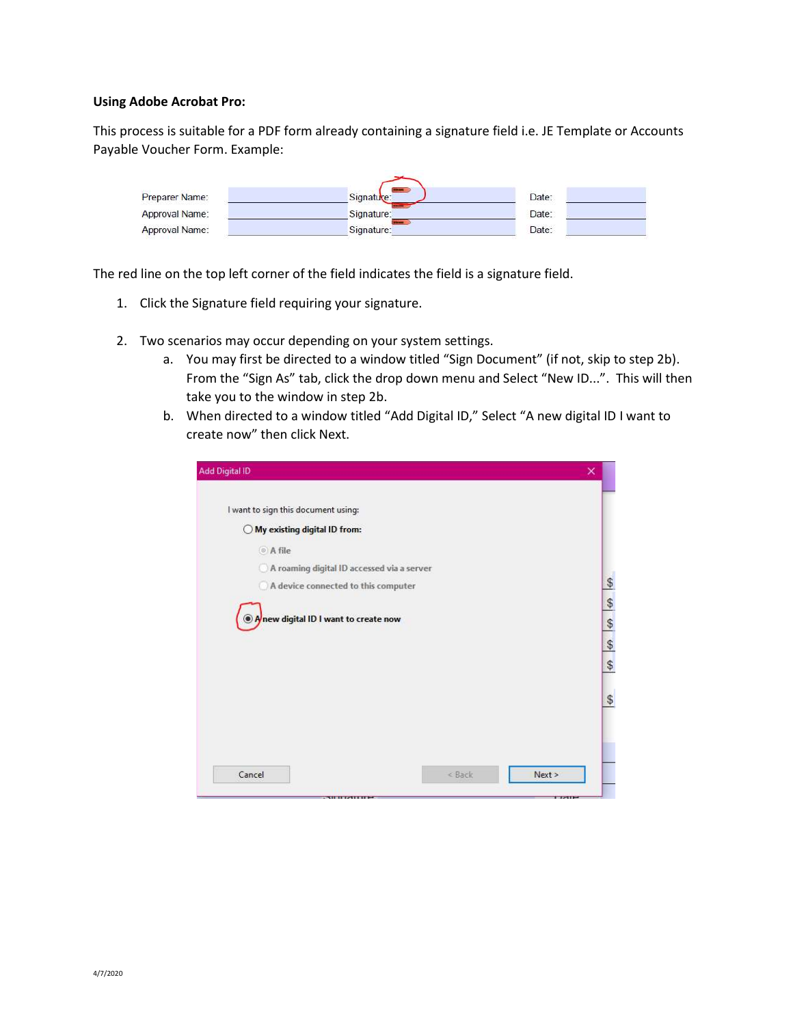## Using Adobe Acrobat Pro:

This process is suitable for a PDF form already containing a signature field i.e. JE Template or Accounts Payable Voucher Form. Example:



The red line on the top left corner of the field indicates the field is a signature field.

- 1. Click the Signature field requiring your signature.
- 2. Two scenarios may occur depending on your system settings.
	- a. You may first be directed to a window titled "Sign Document" (if not, skip to step 2b). From the "Sign As" tab, click the drop down menu and Select "New ID...". This will then take you to the window in step 2b.
	- b. When directed to a window titled "Add Digital ID," Select "A new digital ID I want to create now" then click Next.

| I want to sign this document using:        |        |      |
|--------------------------------------------|--------|------|
| ◯ My existing digital ID from:             |        |      |
| A file                                     |        |      |
| A roaming digital ID accessed via a server |        |      |
| A device connected to this computer        |        |      |
|                                            |        |      |
| Anew digital ID I want to create now       |        |      |
|                                            |        |      |
|                                            |        |      |
|                                            |        |      |
|                                            |        |      |
|                                            |        |      |
| Cancel                                     | < Back | Next |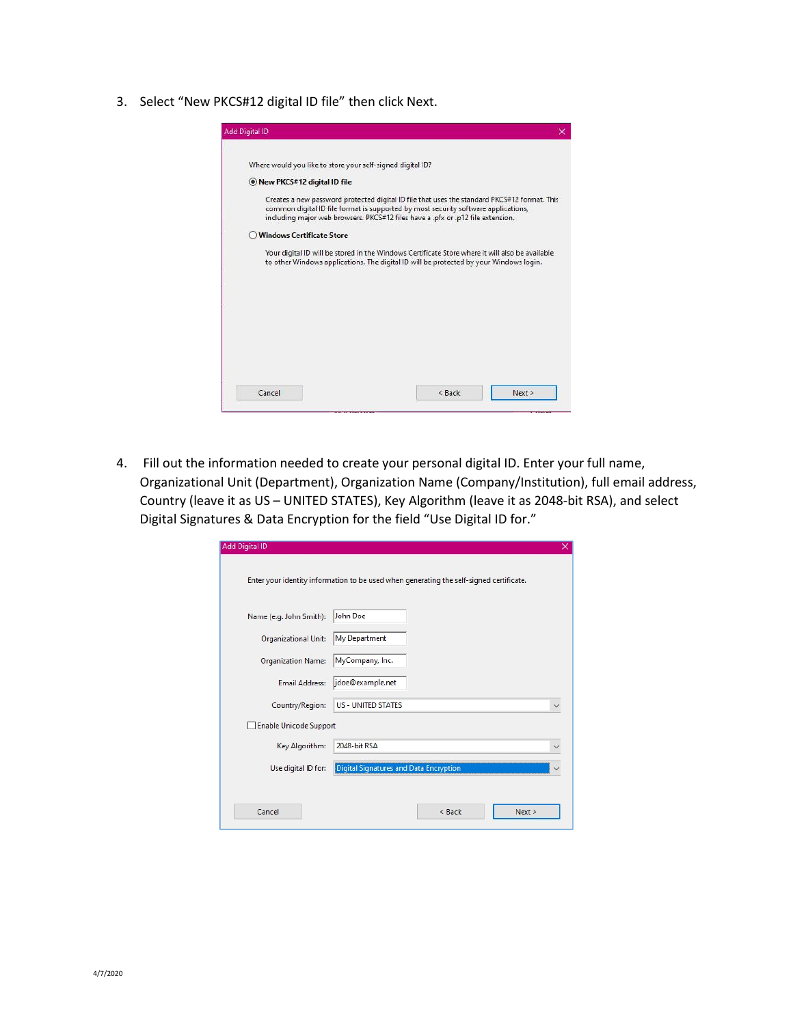3. Select "New PKCS#12 digital ID file" then click Next.



4. Fill out the information needed to create your personal digital ID. Enter your full name, Organizational Unit (Department), Organization Name (Company/Institution), full email address, Country (leave it as US – UNITED STATES), Key Algorithm (leave it as 2048-bit RSA), and select Digital Signatures & Data Encryption for the field "Use Digital ID for."

| Name (e.g. John Smith):       | John Doe                               |  |
|-------------------------------|----------------------------------------|--|
| <b>Organizational Unit:</b>   | My Department                          |  |
| Organization Name:            | MyCompany, Inc.                        |  |
| <b>Email Address:</b>         | jdoe@example.net                       |  |
| Country/Region:               | <b>US - UNITED STATES</b>              |  |
| <b>Enable Unicode Support</b> |                                        |  |
| Key Algorithm:                | 2048-bit RSA                           |  |
| Use digital ID for:           | Digital Signatures and Data Encryption |  |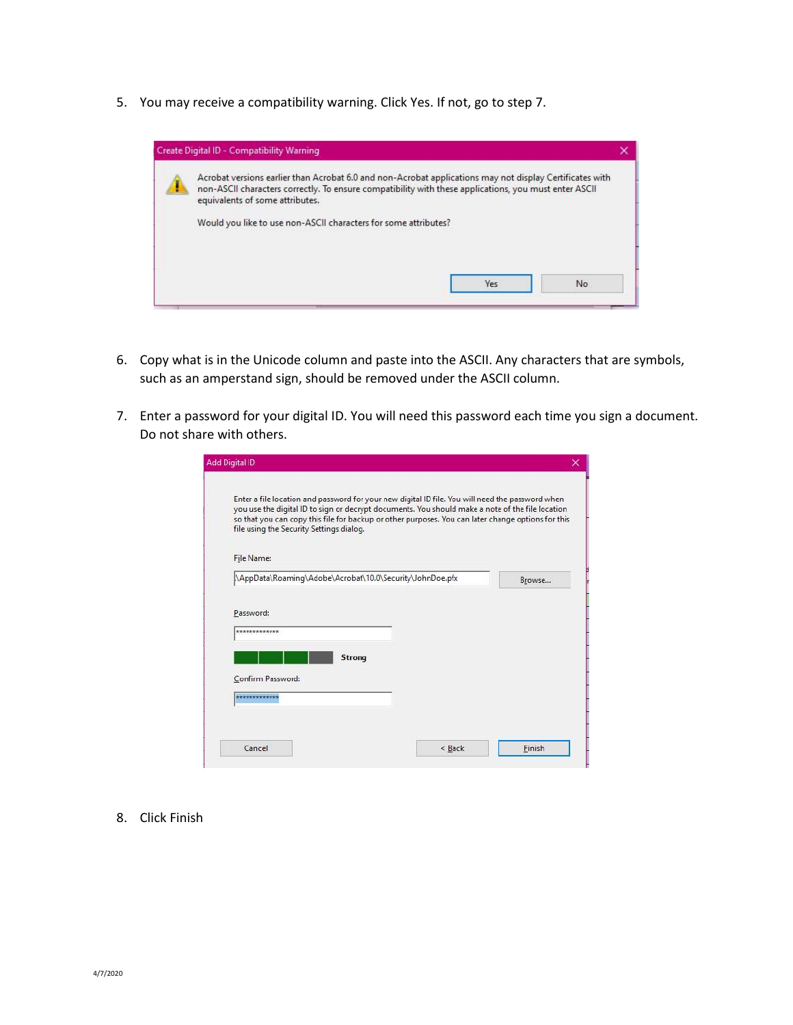5. You may receive a compatibility warning. Click Yes. If not, go to step 7.



- 6. Copy what is in the Unicode column and paste into the ASCII. Any characters that are symbols, such as an amperstand sign, should be removed under the ASCII column.
- 7. Enter a password for your digital ID. You will need this password each time you sign a document. Do not share with others.

| file using the Security Settings dialog. | Enter a file location and password for your new digital ID file. You will need the password when<br>you use the digital ID to sign or decrypt documents. You should make a note of the file location<br>so that you can copy this file for backup or other purposes. You can later change options for this |        |
|------------------------------------------|------------------------------------------------------------------------------------------------------------------------------------------------------------------------------------------------------------------------------------------------------------------------------------------------------------|--------|
| <b>File Name:</b>                        |                                                                                                                                                                                                                                                                                                            |        |
|                                          | \AppData\Roaming\Adobe\Acrobat\10.0\Security\JohnDoe.pfx                                                                                                                                                                                                                                                   | Browse |
| Password:<br>*************               | <b>Strong</b>                                                                                                                                                                                                                                                                                              |        |
| Confirm Password:                        |                                                                                                                                                                                                                                                                                                            |        |

8. Click Finish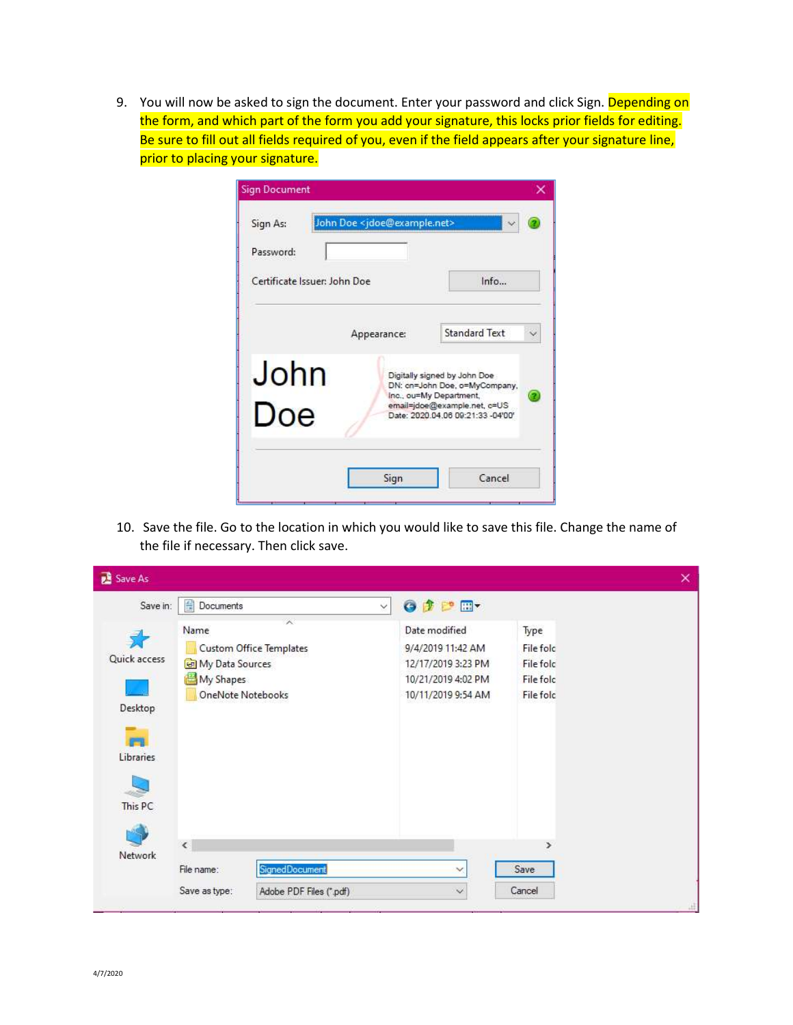9. You will now be asked to sign the document. Enter your password and click Sign. Depending on the form, and which part of the form you add your signature, this locks prior fields for editing. Be sure to fill out all fields required of you, even if the field appears after your signature line, prior to placing your signature.

| Sign As:                                  | John Doe <jdoe@example.net></jdoe@example.net> |                                                                                                                                                               |  |
|-------------------------------------------|------------------------------------------------|---------------------------------------------------------------------------------------------------------------------------------------------------------------|--|
| Password:<br>Certificate Issuer: John Doe |                                                | Info                                                                                                                                                          |  |
|                                           | Appearance:                                    | <b>Standard Text</b>                                                                                                                                          |  |
| John<br>Doe                               |                                                | Digitally signed by John Doe<br>DN: cn=John Doe, o=MyCompany,<br>Inc., ou=My Department,<br>email=jdoe@example.net, c=US<br>Date: 2020 04 06 09:21:33 -04'00" |  |
|                                           | Sign                                           | Cancel                                                                                                                                                        |  |

10. Save the file. Go to the location in which you would like to save this file. Change the name of the file if necessary. Then click save.

| <b>國</b> Save As                                |                                                                  |                                     |                                                                                                      |                                                                 | × |
|-------------------------------------------------|------------------------------------------------------------------|-------------------------------------|------------------------------------------------------------------------------------------------------|-----------------------------------------------------------------|---|
| Save in:                                        | 譱<br>Documents                                                   |                                     | G D D H<br>$\checkmark$                                                                              |                                                                 |   |
| Quick access<br>Desktop<br>Libraries<br>This PC | Name<br>My Data Sources<br>My Shapes<br><b>OneNote Notebooks</b> | л<br><b>Custom Office Templates</b> | Date modified<br>9/4/2019 11:42 AM<br>12/17/2019 3:23 PM<br>10/21/2019 4:02 PM<br>10/11/2019 9:54 AM | Type<br>File fold<br>File fold<br>File folc<br><b>File fold</b> |   |
| Network                                         | $\overline{\phantom{a}}$                                         |                                     |                                                                                                      | ×                                                               |   |
|                                                 | File name:                                                       | <b>SignedDocument</b>               | v                                                                                                    | Save                                                            |   |
|                                                 | Save as type:                                                    | Adobe PDF Files (".pdf)             | $\checkmark$                                                                                         | Cancel                                                          |   |